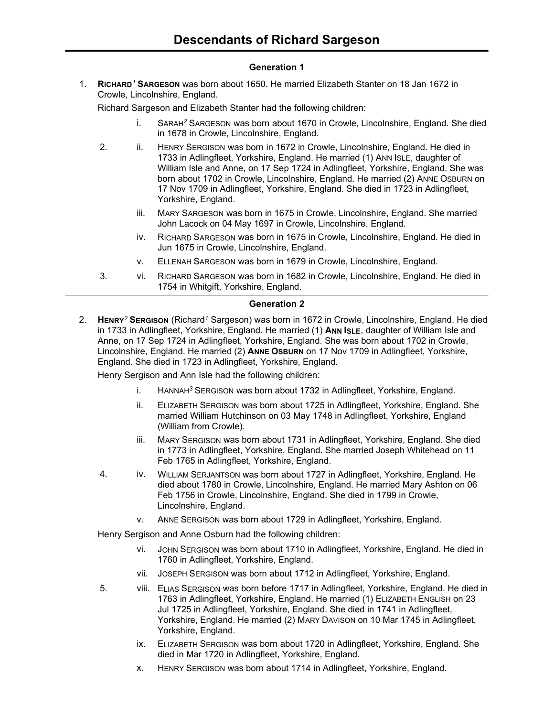### **Generation 1**

1. **RICHARD***<sup>1</sup>* **SARGESON** was born about 1650. He married Elizabeth Stanter on 18 Jan 1672 in Crowle, Lincolnshire, England.

Richard Sargeson and Elizabeth Stanter had the following children:

- i. SARAH*<sup>2</sup>* SARGESON was born about 1670 in Crowle, Lincolnshire, England. She died in 1678 in Crowle, Lincolnshire, England.
- 2. ii. HENRY SERGISON was born in 1672 in Crowle, Lincolnshire, England. He died in 1733 in Adlingfleet, Yorkshire, England. He married (1) ANN ISLE, daughter of William Isle and Anne, on 17 Sep 1724 in Adlingfleet, Yorkshire, England. She was born about 1702 in Crowle, Lincolnshire, England. He married (2) ANNE OSBURN on 17 Nov 1709 in Adlingfleet, Yorkshire, England. She died in 1723 in Adlingfleet, Yorkshire, England.
	- iii. MARY SARGESON was born in 1675 in Crowle, Lincolnshire, England. She married John Lacock on 04 May 1697 in Crowle, Lincolnshire, England.
	- iv. RICHARD SARGESON was born in 1675 in Crowle, Lincolnshire, England. He died in Jun 1675 in Crowle, Lincolnshire, England.
	- v. ELLENAH SARGESON was born in 1679 in Crowle, Lincolnshire, England.
- 3. vi. RICHARD SARGESON was born in 1682 in Crowle, Lincolnshire, England. He died in 1754 in Whitgift, Yorkshire, England.

### **Generation 2**

2. **HENRY***<sup>2</sup>* **SERGISON** (Richard*<sup>1</sup>* Sargeson) was born in 1672 in Crowle, Lincolnshire, England. He died in 1733 in Adlingfleet, Yorkshire, England. He married (1) ANN ISLE, daughter of William Isle and Anne, on 17 Sep 1724 in Adlingfleet, Yorkshire, England. She was born about 1702 in Crowle, Lincolnshire, England. He married (2) ANNE OSBURN on 17 Nov 1709 in Adlingfleet, Yorkshire, England. She died in 1723 in Adlingfleet, Yorkshire, England.

Henry Sergison and Ann Isle had the following children:

- i. HANNAH*<sup>3</sup>* SERGISON was born about 1732 in Adlingfleet, Yorkshire, England.
- ii. ELIZABETH SERGISON was born about 1725 in Adlingfleet, Yorkshire, England. She married William Hutchinson on 03 May 1748 in Adlingfleet, Yorkshire, England (William from Crowle).
- iii. MARY SERGISON was born about 1731 in Adlingfleet, Yorkshire, England. She died in 1773 in Adlingfleet, Yorkshire, England. She married Joseph Whitehead on 11 Feb 1765 in Adlingfleet, Yorkshire, England.
- 4. iv. WILLIAM SERJANTSON was born about 1727 in Adlingfleet, Yorkshire, England. He died about 1780 in Crowle, Lincolnshire, England. He married Mary Ashton on 06 Feb 1756 in Crowle, Lincolnshire, England. She died in 1799 in Crowle, Lincolnshire, England.
	- v. ANNE SERGISON was born about 1729 in Adlingfleet, Yorkshire, England.

Henry Sergison and Anne Osburn had the following children:

- vi. JOHN SERGISON was born about 1710 in Adlingfleet, Yorkshire, England. He died in 1760 in Adlingfleet, Yorkshire, England.
- vii. JOSEPH SERGISON was born about 1712 in Adlingfleet, Yorkshire, England.
- 5. viii. ELIAS SERGISON was born before 1717 in Adlingfleet, Yorkshire, England. He died in 1763 in Adlingfleet, Yorkshire, England. He married (1) ELIZABETH ENGLISH on 23 Jul 1725 in Adlingfleet, Yorkshire, England. She died in 1741 in Adlingfleet, Yorkshire, England. He married (2) MARY DAVISON on 10 Mar 1745 in Adlingfleet, Yorkshire, England.
	- ix. ELIZABETH SERGISON was born about 1720 in Adlingfleet, Yorkshire, England. She died in Mar 1720 in Adlingfleet, Yorkshire, England.
	- x. HENRY SERGISON was born about 1714 in Adlingfleet, Yorkshire, England.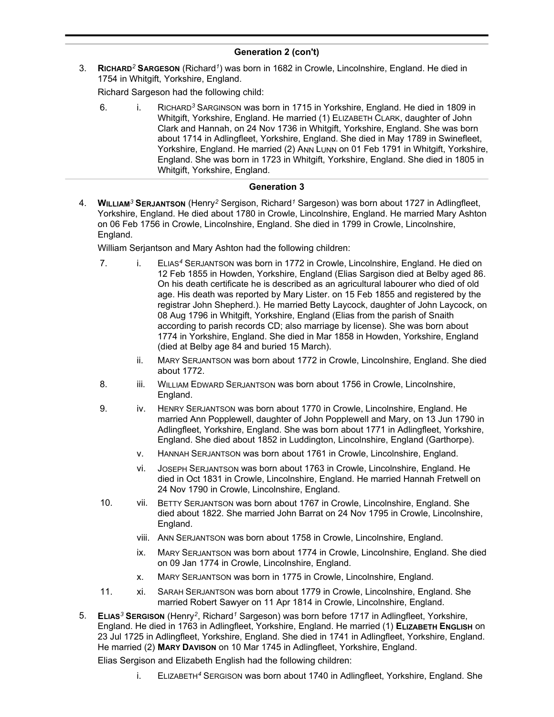# **Generation 2 (con't)**

3. **RICHARD***<sup>2</sup>* **SARGESON** (Richard*<sup>1</sup>* ) was born in 1682 in Crowle, Lincolnshire, England. He died in 1754 in Whitgift, Yorkshire, England.

Richard Sargeson had the following child:

6. i. RICHARD*<sup>3</sup>* SARGINSON was born in 1715 in Yorkshire, England. He died in 1809 in Whitgift, Yorkshire, England. He married (1) ELIZABETH CLARK, daughter of John Clark and Hannah, on 24 Nov 1736 in Whitgift, Yorkshire, England. She was born about 1714 in Adlingfleet, Yorkshire, England. She died in May 1789 in Swinefleet, Yorkshire, England. He married (2) ANN LUNN on 01 Feb 1791 in Whitgift, Yorkshire, England. She was born in 1723 in Whitgift, Yorkshire, England. She died in 1805 in Whitgift, Yorkshire, England.

### **Generation 3**

4. **WILLIAM***<sup>3</sup>* **SERJANTSON** (Henry*<sup>2</sup>* Sergison, Richard*<sup>1</sup>* Sargeson) was born about 1727 in Adlingfleet, Yorkshire, England. He died about 1780 in Crowle, Lincolnshire, England. He married Mary Ashton on 06 Feb 1756 in Crowle, Lincolnshire, England. She died in 1799 in Crowle, Lincolnshire, England.

William Serjantson and Mary Ashton had the following children:

- 7. i. ELIAS*<sup>4</sup>* SERJANTSON was born in 1772 in Crowle, Lincolnshire, England. He died on 12 Feb 1855 in Howden, Yorkshire, England (Elias Sargison died at Belby aged 86. On his death certificate he is described as an agricultural labourer who died of old age. His death was reported by Mary Lister. on 15 Feb 1855 and registered by the registrar John Shepherd.). He married Betty Laycock, daughter of John Laycock, on 08 Aug 1796 in Whitgift, Yorkshire, England (Elias from the parish of Snaith according to parish records CD; also marriage by license). She was born about 1774 in Yorkshire, England. She died in Mar 1858 in Howden, Yorkshire, England (died at Belby age 84 and buried 15 March).
	- ii. MARY SERJANTSON was born about 1772 in Crowle, Lincolnshire, England. She died about 1772.
- 8. iii. WILLIAM EDWARD SERJANTSON was born about 1756 in Crowle, Lincolnshire, England.
- 9. iv. HENRY SERJANTSON was born about 1770 in Crowle, Lincolnshire, England. He married Ann Popplewell, daughter of John Popplewell and Mary, on 13 Jun 1790 in Adlingfleet, Yorkshire, England. She was born about 1771 in Adlingfleet, Yorkshire, England. She died about 1852 in Luddington, Lincolnshire, England (Garthorpe).
	- v. HANNAH SERJANTSON was born about 1761 in Crowle, Lincolnshire, England.
	- vi. JOSEPH SERJANTSON was born about 1763 in Crowle, Lincolnshire, England. He died in Oct 1831 in Crowle, Lincolnshire, England. He married Hannah Fretwell on 24 Nov 1790 in Crowle, Lincolnshire, England.
- 10. vii. BETTY SERJANTSON was born about 1767 in Crowle, Lincolnshire, England. She died about 1822. She married John Barrat on 24 Nov 1795 in Crowle, Lincolnshire, England.
	- viii. ANN SERJANTSON was born about 1758 in Crowle, Lincolnshire, England.
	- ix. MARY SERJANTSON was born about 1774 in Crowle, Lincolnshire, England. She died on 09 Jan 1774 in Crowle, Lincolnshire, England.
	- x. MARY SERJANTSON was born in 1775 in Crowle, Lincolnshire, England.
- 11. xi. SARAH SERJANTSON was born about 1779 in Crowle, Lincolnshire, England. She married Robert Sawyer on 11 Apr 1814 in Crowle, Lincolnshire, England.
- 5. **ELIAS***<sup>3</sup>* **SERGISON** (Henry*<sup>2</sup>* , Richard*<sup>1</sup>* Sargeson) was born before 1717 in Adlingfleet, Yorkshire, England. He died in 1763 in Adlingfleet, Yorkshire, England. He married (1) **ELIZABETH ENGLISH** on 23 Jul 1725 in Adlingfleet, Yorkshire, England. She died in 1741 in Adlingfleet, Yorkshire, England. He married (2) **MARY DAVISON** on 10 Mar 1745 in Adlingfleet, Yorkshire, England.

Elias Sergison and Elizabeth English had the following children:

i. ELIZABETH*<sup>4</sup>* SERGISON was born about 1740 in Adlingfleet, Yorkshire, England. She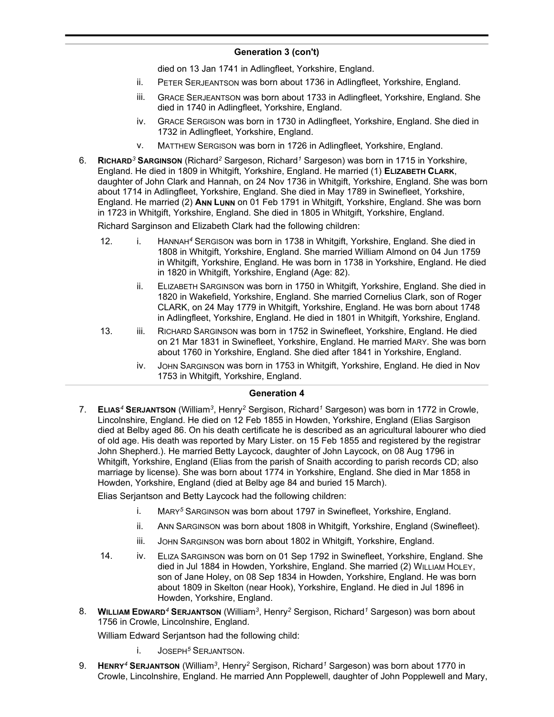# **Generation 3 (con't)**

died on 13 Jan 1741 in Adlingfleet, Yorkshire, England.

- ii. PETER SERJEANTSON was born about 1736 in Adlingfleet, Yorkshire, England.
- iii. GRACE SERJEANTSON was born about 1733 in Adlingfleet, Yorkshire, England. She died in 1740 in Adlingfleet, Yorkshire, England.
- iv. GRACE SERGISON was born in 1730 in Adlingfleet, Yorkshire, England. She died in 1732 in Adlingfleet, Yorkshire, England.
- v. MATTHEW SERGISON was born in 1726 in Adlingfleet, Yorkshire, England.
- 6. **RICHARD***<sup>3</sup>* **SARGINSON** (Richard*<sup>2</sup>* Sargeson, Richard*<sup>1</sup>* Sargeson) was born in 1715 in Yorkshire, England. He died in 1809 in Whitgift, Yorkshire, England. He married (1) **ELIZABETH CLARK**, daughter of John Clark and Hannah, on 24 Nov 1736 in Whitgift, Yorkshire, England. She was born about 1714 in Adlingfleet, Yorkshire, England. She died in May 1789 in Swinefleet, Yorkshire, England. He married (2) **ANN LUNN** on 01 Feb 1791 in Whitgift, Yorkshire, England. She was born in 1723 in Whitgift, Yorkshire, England. She died in 1805 in Whitgift, Yorkshire, England.

Richard Sarginson and Elizabeth Clark had the following children:

- 12. i. HANNAH*<sup>4</sup>* SERGISON was born in 1738 in Whitgift, Yorkshire, England. She died in 1808 in Whitgift, Yorkshire, England. She married William Almond on 04 Jun 1759 in Whitgift, Yorkshire, England. He was born in 1738 in Yorkshire, England. He died in 1820 in Whitgift, Yorkshire, England (Age: 82).
	- ii. ELIZABETH SARGINSON was born in 1750 in Whitgift, Yorkshire, England. She died in 1820 in Wakefield, Yorkshire, England. She married Cornelius Clark, son of Roger CLARK, on 24 May 1779 in Whitgift, Yorkshire, England. He was born about 1748 in Adlingfleet, Yorkshire, England. He died in 1801 in Whitgift, Yorkshire, England.
- 13. iii. RICHARD SARGINSON was born in 1752 in Swinefleet, Yorkshire, England. He died on 21 Mar 1831 in Swinefleet, Yorkshire, England. He married MARY. She was born about 1760 in Yorkshire, England. She died after 1841 in Yorkshire, England.
	- iv. JOHN SARGINSON was born in 1753 in Whitgift, Yorkshire, England. He died in Nov 1753 in Whitgift, Yorkshire, England.

#### **Generation 4**

7. **ELIAS***<sup>4</sup>* **SERJANTSON** (William*<sup>3</sup>* , Henry*<sup>2</sup>* Sergison, Richard*<sup>1</sup>* Sargeson) was born in 1772 in Crowle, Lincolnshire, England. He died on 12 Feb 1855 in Howden, Yorkshire, England (Elias Sargison died at Belby aged 86. On his death certificate he is described as an agricultural labourer who died of old age. His death was reported by Mary Lister. on 15 Feb 1855 and registered by the registrar John Shepherd.). He married Betty Laycock, daughter of John Laycock, on 08 Aug 1796 in Whitgift, Yorkshire, England (Elias from the parish of Snaith according to parish records CD; also marriage by license). She was born about 1774 in Yorkshire, England. She died in Mar 1858 in Howden, Yorkshire, England (died at Belby age 84 and buried 15 March).

Elias Serjantson and Betty Laycock had the following children:

- i. MARY*<sup>5</sup>* SARGINSON was born about 1797 in Swinefleet, Yorkshire, England.
- ii. ANN SARGINSON was born about 1808 in Whitgift, Yorkshire, England (Swinefleet).
- iii. JOHN SARGINSON was born about 1802 in Whitgift, Yorkshire, England.
- 14. iv. ELIZA SARGINSON was born on 01 Sep 1792 in Swinefleet, Yorkshire, England. She died in Jul 1884 in Howden, Yorkshire, England. She married (2) WILLIAM HOLEY, son of Jane Holey, on 08 Sep 1834 in Howden, Yorkshire, England. He was born about 1809 in Skelton (near Hook), Yorkshire, England. He died in Jul 1896 in Howden, Yorkshire, England.
- 8. **WILLIAM EDWARD***<sup>4</sup>* **SERJANTSON** (William*<sup>3</sup>* , Henry*<sup>2</sup>* Sergison, Richard*<sup>1</sup>* Sargeson) was born about 1756 in Crowle, Lincolnshire, England.

William Edward Serjantson had the following child:

- i. JOSEPH*<sup>5</sup>* SERJANTSON.
- 9. **HENRY***<sup>4</sup>* **SERJANTSON** (William*<sup>3</sup>* , Henry*<sup>2</sup>* Sergison, Richard*<sup>1</sup>* Sargeson) was born about 1770 in Crowle, Lincolnshire, England. He married Ann Popplewell, daughter of John Popplewell and Mary,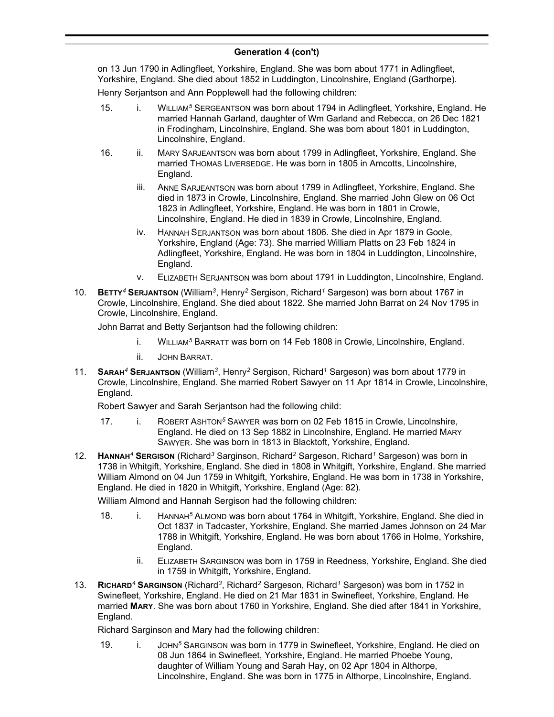# **Generation 4 (con't)**

on 13 Jun 1790 in Adlingfleet, Yorkshire, England. She was born about 1771 in Adlingfleet, Yorkshire, England. She died about 1852 in Luddington, Lincolnshire, England (Garthorpe).

Henry Serjantson and Ann Popplewell had the following children:

- 15. i. WILLIAM*<sup>5</sup>* SERGEANTSON was born about 1794 in Adlingfleet, Yorkshire, England. He married Hannah Garland, daughter of Wm Garland and Rebecca, on 26 Dec 1821 in Frodingham, Lincolnshire, England. She was born about 1801 in Luddington, Lincolnshire, England.
- 16. ii. MARY SARJEANTSON was born about 1799 in Adlingfleet, Yorkshire, England. She married THOMAS LIVERSEDGE. He was born in 1805 in Amcotts, Lincolnshire, England.
	- iii. ANNE SARJEANTSON was born about 1799 in Adlingfleet, Yorkshire, England. She died in 1873 in Crowle, Lincolnshire, England. She married John Glew on 06 Oct 1823 in Adlingfleet, Yorkshire, England. He was born in 1801 in Crowle, Lincolnshire, England. He died in 1839 in Crowle, Lincolnshire, England.
	- iv. HANNAH SERJANTSON was born about 1806. She died in Apr 1879 in Goole, Yorkshire, England (Age: 73). She married William Platts on 23 Feb 1824 in Adlingfleet, Yorkshire, England. He was born in 1804 in Luddington, Lincolnshire, England.
	- v. ELIZABETH SERJANTSON was born about 1791 in Luddington, Lincolnshire, England.
- 10. **BETTY***<sup>4</sup>* **SERJANTSON** (William*<sup>3</sup>* , Henry*<sup>2</sup>* Sergison, Richard*<sup>1</sup>* Sargeson) was born about 1767 in Crowle, Lincolnshire, England. She died about 1822. She married John Barrat on 24 Nov 1795 in Crowle, Lincolnshire, England.

John Barrat and Betty Serjantson had the following children:

- i. WILLIAM*<sup>5</sup>* BARRATT was born on 14 Feb 1808 in Crowle, Lincolnshire, England.
- ii. JOHN BARRAT.
- 11. **SARAH***<sup>4</sup>* **SERJANTSON** (William*<sup>3</sup>* , Henry*<sup>2</sup>* Sergison, Richard*<sup>1</sup>* Sargeson) was born about 1779 in Crowle, Lincolnshire, England. She married Robert Sawyer on 11 Apr 1814 in Crowle, Lincolnshire, England.

Robert Sawyer and Sarah Serjantson had the following child:

- 17. i. ROBERT ASHTON*<sup>5</sup>* SAWYER was born on 02 Feb 1815 in Crowle, Lincolnshire, England. He died on 13 Sep 1882 in Lincolnshire, England. He married MARY SAWYER. She was born in 1813 in Blacktoft, Yorkshire, England.
- 12. **HANNAH***<sup>4</sup>* **SERGISON** (Richard*<sup>3</sup>* Sarginson, Richard*<sup>2</sup>* Sargeson, Richard*<sup>1</sup>* Sargeson) was born in 1738 in Whitgift, Yorkshire, England. She died in 1808 in Whitgift, Yorkshire, England. She married William Almond on 04 Jun 1759 in Whitgift, Yorkshire, England. He was born in 1738 in Yorkshire, England. He died in 1820 in Whitgift, Yorkshire, England (Age: 82).

William Almond and Hannah Sergison had the following children:

- 18. i. HANNAH<sup>5</sup> ALMOND was born about 1764 in Whitgift, Yorkshire, England. She died in Oct 1837 in Tadcaster, Yorkshire, England. She married James Johnson on 24 Mar 1788 in Whitgift, Yorkshire, England. He was born about 1766 in Holme, Yorkshire, England.
	- ii. ELIZABETH SARGINSON was born in 1759 in Reedness, Yorkshire, England. She died in 1759 in Whitgift, Yorkshire, England.
- 13. **RICHARD***<sup>4</sup>* **SARGINSON** (Richard*<sup>3</sup>* , Richard*<sup>2</sup>* Sargeson, Richard*<sup>1</sup>* Sargeson) was born in 1752 in Swinefleet, Yorkshire, England. He died on 21 Mar 1831 in Swinefleet, Yorkshire, England. He married **MARY**. She was born about 1760 in Yorkshire, England. She died after 1841 in Yorkshire, England.

Richard Sarginson and Mary had the following children:

19. i. JOHN*<sup>5</sup>* SARGINSON was born in 1779 in Swinefleet, Yorkshire, England. He died on 08 Jun 1864 in Swinefleet, Yorkshire, England. He married Phoebe Young, daughter of William Young and Sarah Hay, on 02 Apr 1804 in Althorpe, Lincolnshire, England. She was born in 1775 in Althorpe, Lincolnshire, England.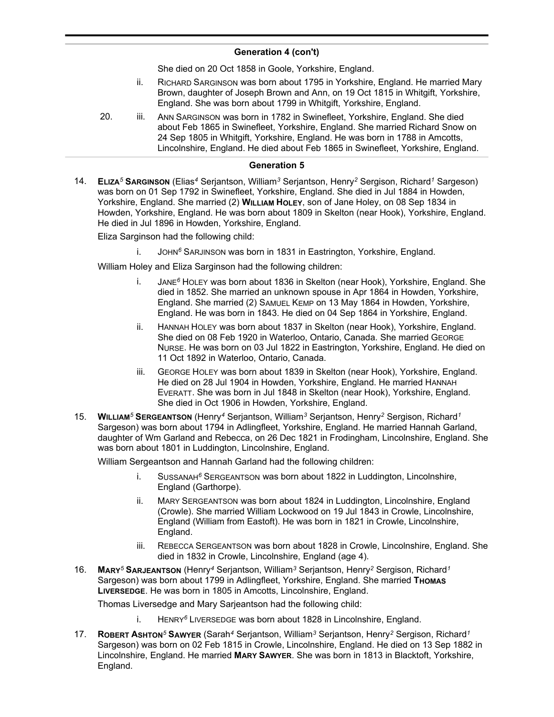# **Generation 4 (con't)**

She died on 20 Oct 1858 in Goole, Yorkshire, England.

- ii. RICHARD SARGINSON was born about 1795 in Yorkshire, England. He married Mary Brown, daughter of Joseph Brown and Ann, on 19 Oct 1815 in Whitgift, Yorkshire, England. She was born about 1799 in Whitgift, Yorkshire, England.
- 20. iii. ANN SARGINSON was born in 1782 in Swinefleet, Yorkshire, England. She died about Feb 1865 in Swinefleet, Yorkshire, England. She married Richard Snow on 24 Sep 1805 in Whitgift, Yorkshire, England. He was born in 1788 in Amcotts, Lincolnshire, England. He died about Feb 1865 in Swinefleet, Yorkshire, England.

#### **Generation 5**

14. **ELIZA***<sup>5</sup>* **SARGINSON** (Elias*<sup>4</sup>* Serjantson, William*<sup>3</sup>* Serjantson, Henry*<sup>2</sup>* Sergison, Richard*<sup>1</sup>* Sargeson) was born on 01 Sep 1792 in Swinefleet, Yorkshire, England. She died in Jul 1884 in Howden, Yorkshire, England. She married (2) **WILLIAM HOLEY**, son of Jane Holey, on 08 Sep 1834 in Howden, Yorkshire, England. He was born about 1809 in Skelton (near Hook), Yorkshire, England. He died in Jul 1896 in Howden, Yorkshire, England.

Eliza Sarginson had the following child:

i. JOHN*<sup>6</sup>* SARJINSON was born in 1831 in Eastrington, Yorkshire, England.

William Holey and Eliza Sarginson had the following children:

- i. JANE*<sup>6</sup>* HOLEY was born about 1836 in Skelton (near Hook), Yorkshire, England. She died in 1852. She married an unknown spouse in Apr 1864 in Howden, Yorkshire, England. She married (2) SAMUEL KEMP on 13 May 1864 in Howden, Yorkshire, England. He was born in 1843. He died on 04 Sep 1864 in Yorkshire, England.
- ii. HANNAH HOLEY was born about 1837 in Skelton (near Hook), Yorkshire, England. She died on 08 Feb 1920 in Waterloo, Ontario, Canada. She married GEORGE NURSE. He was born on 03 Jul 1822 in Eastrington, Yorkshire, England. He died on 11 Oct 1892 in Waterloo, Ontario, Canada.
- iii. GEORGE HOLEY was born about 1839 in Skelton (near Hook), Yorkshire, England. He died on 28 Jul 1904 in Howden, Yorkshire, England. He married HANNAH EVERATT. She was born in Jul 1848 in Skelton (near Hook), Yorkshire, England. She died in Oct 1906 in Howden, Yorkshire, England.
- 15. **WILLIAM***<sup>5</sup>* **SERGEANTSON** (Henry*<sup>4</sup>* Serjantson, William*<sup>3</sup>* Serjantson, Henry*<sup>2</sup>* Sergison, Richard*<sup>1</sup>* Sargeson) was born about 1794 in Adlingfleet, Yorkshire, England. He married Hannah Garland, daughter of Wm Garland and Rebecca, on 26 Dec 1821 in Frodingham, Lincolnshire, England. She was born about 1801 in Luddington, Lincolnshire, England.

William Sergeantson and Hannah Garland had the following children:

- i. SUSSANAH*<sup>6</sup>* SERGEANTSON was born about 1822 in Luddington, Lincolnshire, England (Garthorpe).
- ii. MARY SERGEANTSON was born about 1824 in Luddington, Lincolnshire, England (Crowle). She married William Lockwood on 19 Jul 1843 in Crowle, Lincolnshire, England (William from Eastoft). He was born in 1821 in Crowle, Lincolnshire, England.
- iii. REBECCA SERGEANTSON was born about 1828 in Crowle, Lincolnshire, England. She died in 1832 in Crowle, Lincolnshire, England (age 4).
- 16. **MARY***<sup>5</sup>* **SARJEANTSON** (Henry*<sup>4</sup>* Serjantson, William*<sup>3</sup>* Serjantson, Henry*<sup>2</sup>* Sergison, Richard*<sup>1</sup>* Sargeson) was born about 1799 in Adlingfleet, Yorkshire, England. She married **THOMAS LIVERSEDGE**. He was born in 1805 in Amcotts, Lincolnshire, England.

Thomas Liversedge and Mary Sarjeantson had the following child:

- i. HENRY*<sup>6</sup>* LIVERSEDGE was born about 1828 in Lincolnshire, England.
- 17. **ROBERT ASHTON***<sup>5</sup>* **SAWYER** (Sarah*<sup>4</sup>* Serjantson, William*<sup>3</sup>* Serjantson, Henry*<sup>2</sup>* Sergison, Richard*<sup>1</sup>* Sargeson) was born on 02 Feb 1815 in Crowle, Lincolnshire, England. He died on 13 Sep 1882 in Lincolnshire, England. He married **MARY SAWYER**. She was born in 1813 in Blacktoft, Yorkshire, England.